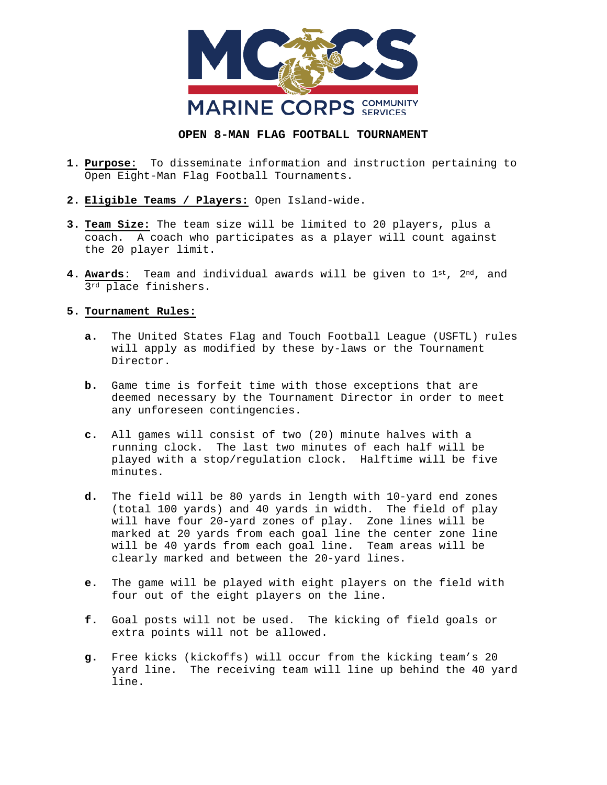

## **OPEN 8-MAN FLAG FOOTBALL TOURNAMENT**

- **1. Purpose:** To disseminate information and instruction pertaining to Open Eight-Man Flag Football Tournaments.
- **2. Eligible Teams / Players:** Open Island-wide.
- **3. Team Size:** The team size will be limited to 20 players, plus a coach. A coach who participates as a player will count against the 20 player limit.
- **4. Awards**: Team and individual awards will be given to 1st, 2nd, and 3rd place finishers.

## **5. Tournament Rules:**

- **a.** The United States Flag and Touch Football League (USFTL) rules will apply as modified by these by-laws or the Tournament Director.
- **b.** Game time is forfeit time with those exceptions that are deemed necessary by the Tournament Director in order to meet any unforeseen contingencies.
- **c.** All games will consist of two (20) minute halves with a running clock. The last two minutes of each half will be played with a stop/regulation clock. Halftime will be five minutes.
- **d.** The field will be 80 yards in length with 10-yard end zones (total 100 yards) and 40 yards in width. The field of play will have four 20-yard zones of play. Zone lines will be marked at 20 yards from each goal line the center zone line will be 40 yards from each goal line. Team areas will be clearly marked and between the 20-yard lines.
- **e.** The game will be played with eight players on the field with four out of the eight players on the line.
- **f.** Goal posts will not be used. The kicking of field goals or extra points will not be allowed.
- **g.** Free kicks (kickoffs) will occur from the kicking team's 20 yard line. The receiving team will line up behind the 40 yard line.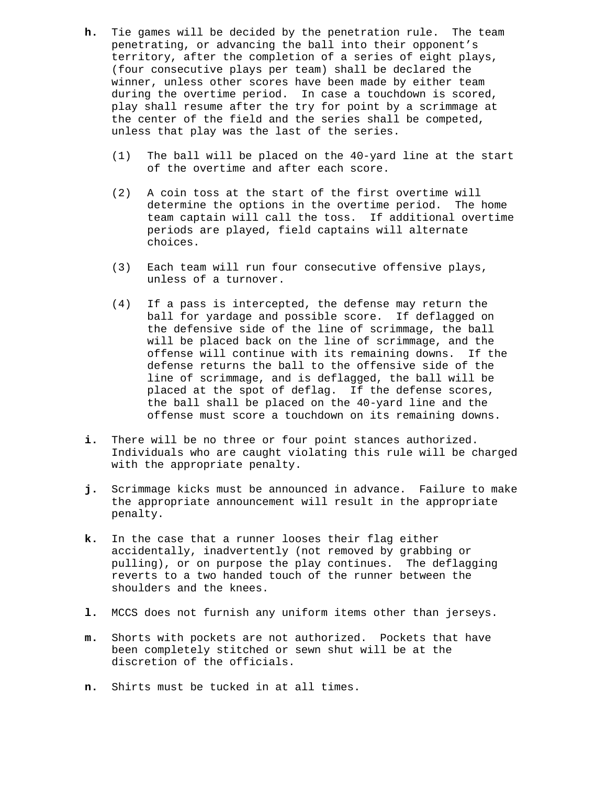- **h.** Tie games will be decided by the penetration rule. The team penetrating, or advancing the ball into their opponent's territory, after the completion of a series of eight plays, (four consecutive plays per team) shall be declared the winner, unless other scores have been made by either team during the overtime period. In case a touchdown is scored, play shall resume after the try for point by a scrimmage at the center of the field and the series shall be competed, unless that play was the last of the series.
	- (1) The ball will be placed on the 40-yard line at the start of the overtime and after each score.
	- (2) A coin toss at the start of the first overtime will determine the options in the overtime period. The home team captain will call the toss. If additional overtime periods are played, field captains will alternate choices.
	- (3) Each team will run four consecutive offensive plays, unless of a turnover.
	- (4) If a pass is intercepted, the defense may return the ball for yardage and possible score. If deflagged on the defensive side of the line of scrimmage, the ball will be placed back on the line of scrimmage, and the offense will continue with its remaining downs. If the defense returns the ball to the offensive side of the line of scrimmage, and is deflagged, the ball will be placed at the spot of deflag. If the defense scores, the ball shall be placed on the 40-yard line and the offense must score a touchdown on its remaining downs.
- **i.** There will be no three or four point stances authorized. Individuals who are caught violating this rule will be charged with the appropriate penalty.
- **j.** Scrimmage kicks must be announced in advance. Failure to make the appropriate announcement will result in the appropriate penalty.
- **k.** In the case that a runner looses their flag either accidentally, inadvertently (not removed by grabbing or pulling), or on purpose the play continues. The deflagging reverts to a two handed touch of the runner between the shoulders and the knees.
- **l.** MCCS does not furnish any uniform items other than jerseys.
- **m.** Shorts with pockets are not authorized. Pockets that have been completely stitched or sewn shut will be at the discretion of the officials.
- **n.** Shirts must be tucked in at all times.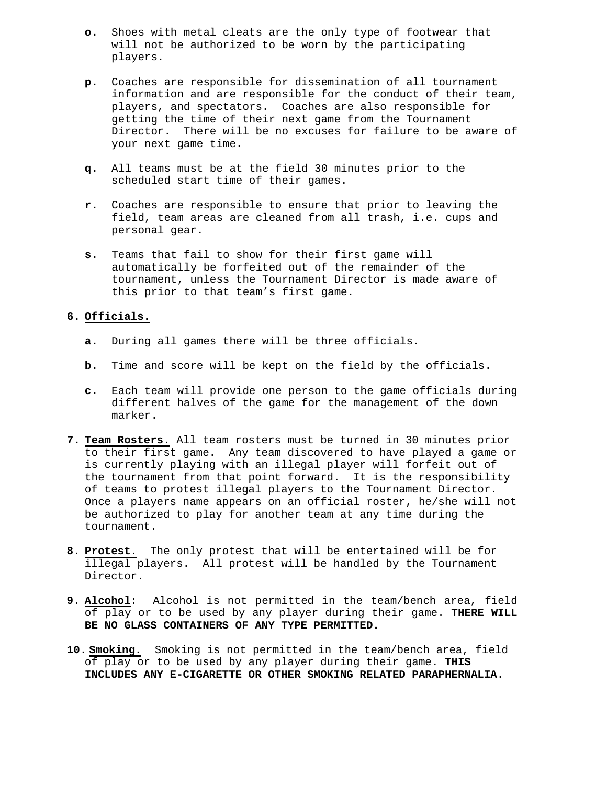- **o.** Shoes with metal cleats are the only type of footwear that will not be authorized to be worn by the participating players.
- **p.** Coaches are responsible for dissemination of all tournament information and are responsible for the conduct of their team, players, and spectators. Coaches are also responsible for getting the time of their next game from the Tournament Director. There will be no excuses for failure to be aware of your next game time.
- **q.** All teams must be at the field 30 minutes prior to the scheduled start time of their games.
- **r.** Coaches are responsible to ensure that prior to leaving the field, team areas are cleaned from all trash, i.e. cups and personal gear.
- **s.** Teams that fail to show for their first game will automatically be forfeited out of the remainder of the tournament, unless the Tournament Director is made aware of this prior to that team's first game.

## **6. Officials.**

- **a.** During all games there will be three officials.
- **b.** Time and score will be kept on the field by the officials.
- **c.** Each team will provide one person to the game officials during different halves of the game for the management of the down marker.
- **7. Team Rosters.** All team rosters must be turned in 30 minutes prior to their first game. Any team discovered to have played a game or is currently playing with an illegal player will forfeit out of the tournament from that point forward. It is the responsibility of teams to protest illegal players to the Tournament Director. Once a players name appears on an official roster, he/she will not be authorized to play for another team at any time during the tournament.
- **8. Protest**. The only protest that will be entertained will be for illegal players. All protest will be handled by the Tournament Director.
- **9. Alcohol**: Alcohol is not permitted in the team/bench area, field of play or to be used by any player during their game. **THERE WILL BE NO GLASS CONTAINERS OF ANY TYPE PERMITTED.**
- **10. Smoking.** Smoking is not permitted in the team/bench area, field of play or to be used by any player during their game. **THIS INCLUDES ANY E-CIGARETTE OR OTHER SMOKING RELATED PARAPHERNALIA.**